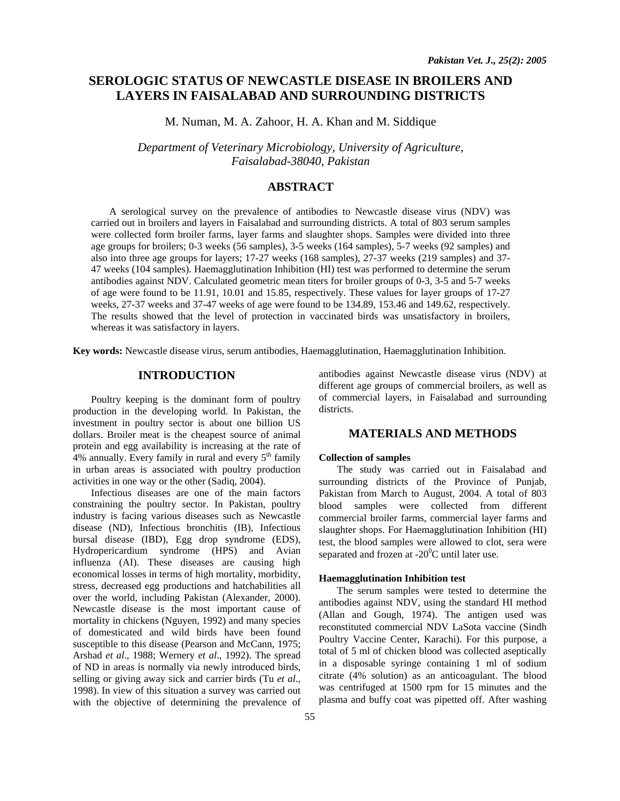# **SEROLOGIC STATUS OF NEWCASTLE DISEASE IN BROILERS AND LAYERS IN FAISALABAD AND SURROUNDING DISTRICTS**

M. Numan, M. A. Zahoor, H. A. Khan and M. Siddique

*Department of Veterinary Microbiology, University of Agriculture, Faisalabad-38040, Pakistan* 

### **ABSTRACT**

A serological survey on the prevalence of antibodies to Newcastle disease virus (NDV) was carried out in broilers and layers in Faisalabad and surrounding districts. A total of 803 serum samples were collected form broiler farms, layer farms and slaughter shops. Samples were divided into three age groups for broilers; 0-3 weeks (56 samples), 3-5 weeks (164 samples), 5-7 weeks (92 samples) and also into three age groups for layers; 17-27 weeks (168 samples), 27-37 weeks (219 samples) and 37- 47 weeks (104 samples). Haemagglutination Inhibition (HI) test was performed to determine the serum antibodies against NDV. Calculated geometric mean titers for broiler groups of 0-3, 3-5 and 5-7 weeks of age were found to be 11.91, 10.01 and 15.85, respectively. These values for layer groups of 17-27 weeks, 27-37 weeks and 37-47 weeks of age were found to be 134.89, 153.46 and 149.62, respectively. The results showed that the level of protection in vaccinated birds was unsatisfactory in broilers, whereas it was satisfactory in layers.

**Key words:** Newcastle disease virus, serum antibodies, Haemagglutination, Haemagglutination Inhibition.

### **INTRODUCTION**

Poultry keeping is the dominant form of poultry production in the developing world. In Pakistan, the investment in poultry sector is about one billion US dollars. Broiler meat is the cheapest source of animal protein and egg availability is increasing at the rate of 4% annually. Every family in rural and every  $5<sup>th</sup>$  family in urban areas is associated with poultry production activities in one way or the other (Sadiq, 2004).

 Infectious diseases are one of the main factors constraining the poultry sector. In Pakistan, poultry industry is facing various diseases such as Newcastle disease (ND), Infectious bronchitis (IB), Infectious bursal disease (IBD), Egg drop syndrome (EDS), Hydropericardium syndrome (HPS) and Avian influenza (AI). These diseases are causing high economical losses in terms of high mortality, morbidity, stress, decreased egg productions and hatchabilities all over the world, including Pakistan (Alexander, 2000). Newcastle disease is the most important cause of mortality in chickens (Nguyen, 1992) and many species of domesticated and wild birds have been found susceptible to this disease (Pearson and McCann, 1975; Arshad *et al*., 1988; Wernery *et al*., 1992). The spread of ND in areas is normally via newly introduced birds, selling or giving away sick and carrier birds (Tu *et al*., 1998). In view of this situation a survey was carried out with the objective of determining the prevalence of

antibodies against Newcastle disease virus (NDV) at different age groups of commercial broilers, as well as of commercial layers, in Faisalabad and surrounding districts.

# **MATERIALS AND METHODS**

#### **Collection of samples**

The study was carried out in Faisalabad and surrounding districts of the Province of Punjab, Pakistan from March to August, 2004. A total of 803 blood samples were collected from different commercial broiler farms, commercial layer farms and slaughter shops. For Haemagglutination Inhibition (HI) test, the blood samples were allowed to clot, sera were separated and frozen at -20 $\mathrm{^{0}C}$  until later use.

#### **Haemagglutination Inhibition test**

The serum samples were tested to determine the antibodies against NDV, using the standard HI method (Allan and Gough, 1974). The antigen used was reconstituted commercial NDV LaSota vaccine (Sindh Poultry Vaccine Center, Karachi). For this purpose, a total of 5 ml of chicken blood was collected aseptically in a disposable syringe containing 1 ml of sodium citrate (4% solution) as an anticoagulant. The blood was centrifuged at 1500 rpm for 15 minutes and the plasma and buffy coat was pipetted off. After washing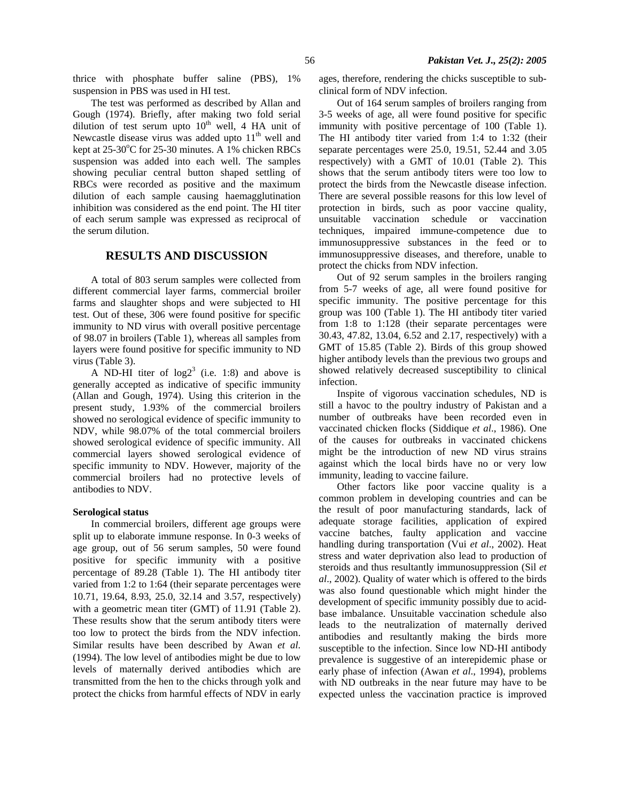thrice with phosphate buffer saline (PBS), 1% suspension in PBS was used in HI test.

The test was performed as described by Allan and Gough (1974). Briefly, after making two fold serial dilution of test serum upto  $10<sup>th</sup>$  well, 4 HA unit of Newcastle disease virus was added upto  $11<sup>th</sup>$  well and kept at  $25\text{-}30^{\circ}\text{C}$  for 25-30 minutes. A 1% chicken RBCs suspension was added into each well. The samples showing peculiar central button shaped settling of RBCs were recorded as positive and the maximum dilution of each sample causing haemagglutination inhibition was considered as the end point. The HI titer of each serum sample was expressed as reciprocal of the serum dilution.

## **RESULTS AND DISCUSSION**

A total of 803 serum samples were collected from different commercial layer farms, commercial broiler farms and slaughter shops and were subjected to HI test. Out of these, 306 were found positive for specific immunity to ND virus with overall positive percentage of 98.07 in broilers (Table 1), whereas all samples from layers were found positive for specific immunity to ND virus (Table 3).

A ND-HI titer of  $log2<sup>3</sup>$  (i.e. 1:8) and above is generally accepted as indicative of specific immunity (Allan and Gough, 1974). Using this criterion in the present study, 1.93% of the commercial broilers showed no serological evidence of specific immunity to NDV, while 98.07% of the total commercial broilers showed serological evidence of specific immunity. All commercial layers showed serological evidence of specific immunity to NDV. However, majority of the commercial broilers had no protective levels of antibodies to NDV.

#### **Serological status**

In commercial broilers, different age groups were split up to elaborate immune response. In 0-3 weeks of age group, out of 56 serum samples, 50 were found positive for specific immunity with a positive percentage of 89.28 (Table 1). The HI antibody titer varied from 1:2 to 1:64 (their separate percentages were 10.71, 19.64, 8.93, 25.0, 32.14 and 3.57, respectively) with a geometric mean titer (GMT) of 11.91 (Table 2). These results show that the serum antibody titers were too low to protect the birds from the NDV infection. Similar results have been described by Awan *et al*. (1994). The low level of antibodies might be due to low levels of maternally derived antibodies which are transmitted from the hen to the chicks through yolk and protect the chicks from harmful effects of NDV in early

ages, therefore, rendering the chicks susceptible to subclinical form of NDV infection.

Out of 164 serum samples of broilers ranging from 3-5 weeks of age, all were found positive for specific immunity with positive percentage of 100 (Table 1). The HI antibody titer varied from 1:4 to 1:32 (their separate percentages were 25.0, 19.51, 52.44 and 3.05 respectively) with a GMT of 10.01 (Table 2). This shows that the serum antibody titers were too low to protect the birds from the Newcastle disease infection. There are several possible reasons for this low level of protection in birds, such as poor vaccine quality, unsuitable vaccination schedule or vaccination techniques, impaired immune-competence due to immunosuppressive substances in the feed or to immunosuppressive diseases, and therefore, unable to protect the chicks from NDV infection.

Out of 92 serum samples in the broilers ranging from 5-7 weeks of age, all were found positive for specific immunity. The positive percentage for this group was 100 (Table 1). The HI antibody titer varied from 1:8 to 1:128 (their separate percentages were 30.43, 47.82, 13.04, 6.52 and 2.17, respectively) with a GMT of 15.85 (Table 2). Birds of this group showed higher antibody levels than the previous two groups and showed relatively decreased susceptibility to clinical infection.

Inspite of vigorous vaccination schedules, ND is still a havoc to the poultry industry of Pakistan and a number of outbreaks have been recorded even in vaccinated chicken flocks (Siddique *et al*., 1986). One of the causes for outbreaks in vaccinated chickens might be the introduction of new ND virus strains against which the local birds have no or very low immunity, leading to vaccine failure.

Other factors like poor vaccine quality is a common problem in developing countries and can be the result of poor manufacturing standards, lack of adequate storage facilities, application of expired vaccine batches, faulty application and vaccine handling during transportation (Vui *et al*., 2002). Heat stress and water deprivation also lead to production of steroids and thus resultantly immunosuppression (Sil *et al*., 2002). Quality of water which is offered to the birds was also found questionable which might hinder the development of specific immunity possibly due to acidbase imbalance. Unsuitable vaccination schedule also leads to the neutralization of maternally derived antibodies and resultantly making the birds more susceptible to the infection. Since low ND-HI antibody prevalence is suggestive of an interepidemic phase or early phase of infection (Awan *et al*., 1994), problems with ND outbreaks in the near future may have to be expected unless the vaccination practice is improved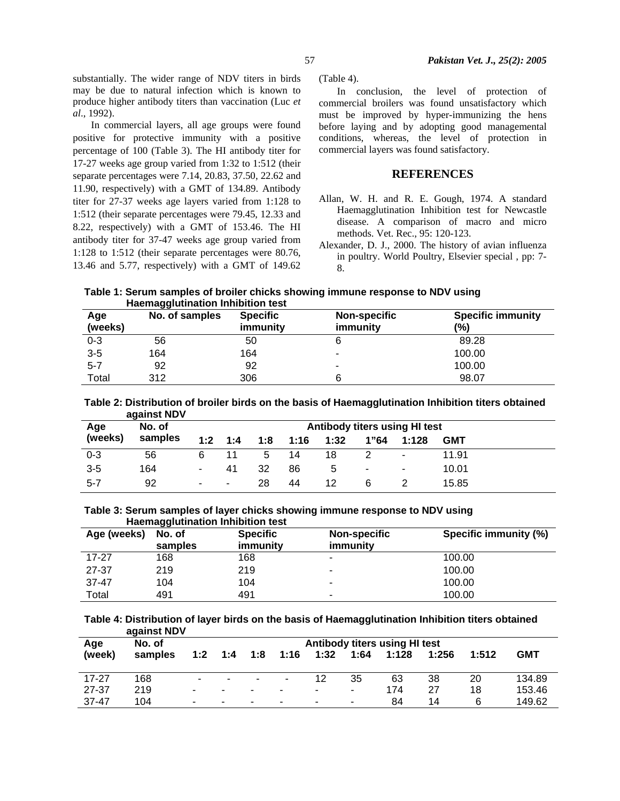substantially. The wider range of NDV titers in birds may be due to natural infection which is known to produce higher antibody titers than vaccination (Luc *et al*., 1992).

In commercial layers, all age groups were found positive for protective immunity with a positive percentage of 100 (Table 3). The HI antibody titer for 17-27 weeks age group varied from 1:32 to 1:512 (their separate percentages were 7.14, 20.83, 37.50, 22.62 and 11.90, respectively) with a GMT of 134.89. Antibody titer for 27-37 weeks age layers varied from 1:128 to 1:512 (their separate percentages were 79.45, 12.33 and 8.22, respectively) with a GMT of 153.46. The HI antibody titer for 37-47 weeks age group varied from 1:128 to 1:512 (their separate percentages were 80.76, 13.46 and 5.77, respectively) with a GMT of 149.62

(Table 4).

In conclusion, the level of protection of commercial broilers was found unsatisfactory which must be improved by hyper-immunizing the hens before laying and by adopting good managemental conditions, whereas, the level of protection in commercial layers was found satisfactory.

### **REFERENCES**

- Allan, W. H. and R. E. Gough, 1974. A standard Haemagglutination Inhibition test for Newcastle disease. A comparison of macro and micro methods. Vet. Rec., 95: 120-123.
- Alexander, D. J., 2000. The history of avian influenza in poultry. World Poultry, Elsevier special , pp: 7- 8.

**Table 1: Serum samples of broiler chicks showing immune response to NDV using Haemagglutination Inhibition test** 

| Age<br>(weeks) | No. of samples | <b>Specific</b><br>immunity | <b>Non-specific</b><br>immunity | <b>Specific immunity</b><br>(%) |
|----------------|----------------|-----------------------------|---------------------------------|---------------------------------|
| $0 - 3$        | 56             | 50                          |                                 | 89.28                           |
| $3-5$          | 164            | 164                         | ۰                               | 100.00                          |
| $5 - 7$        | 92             | 92                          |                                 | 100.00                          |
| Total          | 312            | 306                         |                                 | 98.07                           |

**Table 2: Distribution of broiler birds on the basis of Haemagglutination Inhibition titers obtained against NDV** 

|         | <b><i><u>AYAIIISLIND</u></i></b> |                          |                               |     |      |      |      |       |            |  |
|---------|----------------------------------|--------------------------|-------------------------------|-----|------|------|------|-------|------------|--|
| Age     | No. of                           |                          | Antibody titers using HI test |     |      |      |      |       |            |  |
| (weeks) | samples                          | 1:2                      | 1:4                           | 1:8 | 1:16 | 1:32 | 1"64 | 1:128 | <b>GMT</b> |  |
| $0 - 3$ | 56                               | 6                        |                               | 5   | 14   | 18   |      | ۰     | 11.91      |  |
| $3 - 5$ | 164                              | $\sim$                   | 41                            | 32  | 86   | 5    | ۰    | ۰     | 10.01      |  |
| $5 - 7$ | 92                               | $\overline{\phantom{a}}$ | ۰                             | 28  | 44   | 12   |      |       | 15.85      |  |

**Table 3: Serum samples of layer chicks showing immune response to NDV using Haemagglutination Inhibition test** 

| Haemaggiutination inimpition test |         |                 |                     |                       |  |  |  |  |  |
|-----------------------------------|---------|-----------------|---------------------|-----------------------|--|--|--|--|--|
| Age (weeks)                       | No. of  | <b>Specific</b> | <b>Non-specific</b> | Specific immunity (%) |  |  |  |  |  |
|                                   | samples | immunity        | immunity            |                       |  |  |  |  |  |
| 17-27                             | 168     | 168             | ۰                   | 100.00                |  |  |  |  |  |
| 27-37                             | 219     | 219             | ۰                   | 100.00                |  |  |  |  |  |
| $37 - 47$                         | 104     | 104             | -                   | 100.00                |  |  |  |  |  |
| Total                             | 491     | 491             | ۰                   | 100.00                |  |  |  |  |  |

**Table 4: Distribution of layer birds on the basis of Haemagglutination Inhibition titers obtained against NDV** 

| Age       | . .<br>No. of | Antibody titers using HI test |                          |     |                          |      |      |       |       |       |            |
|-----------|---------------|-------------------------------|--------------------------|-----|--------------------------|------|------|-------|-------|-------|------------|
| (week)    | samples       | 1:2                           | 1:4                      | 1:8 | 1:16                     | 1:32 | 1:64 | 1:128 | 1:256 | 1:512 | <b>GMT</b> |
|           |               |                               |                          |     |                          |      |      |       |       |       |            |
| $17 - 27$ | 168           | $\overline{\phantom{a}}$      |                          |     | $\overline{\phantom{a}}$ | 12   | 35   | 63    | 38    | 20    | 134.89     |
| 27-37     | 219           |                               | $\overline{\phantom{a}}$ | ۰   | $\overline{\phantom{a}}$ | -    | ٠    | 174   | 27    | 18    | 153.46     |
| 37-47     | 104           |                               |                          | ۰   | $\blacksquare$           | ۰    | ٠    | 84    | 14    | 6     | 149.62     |